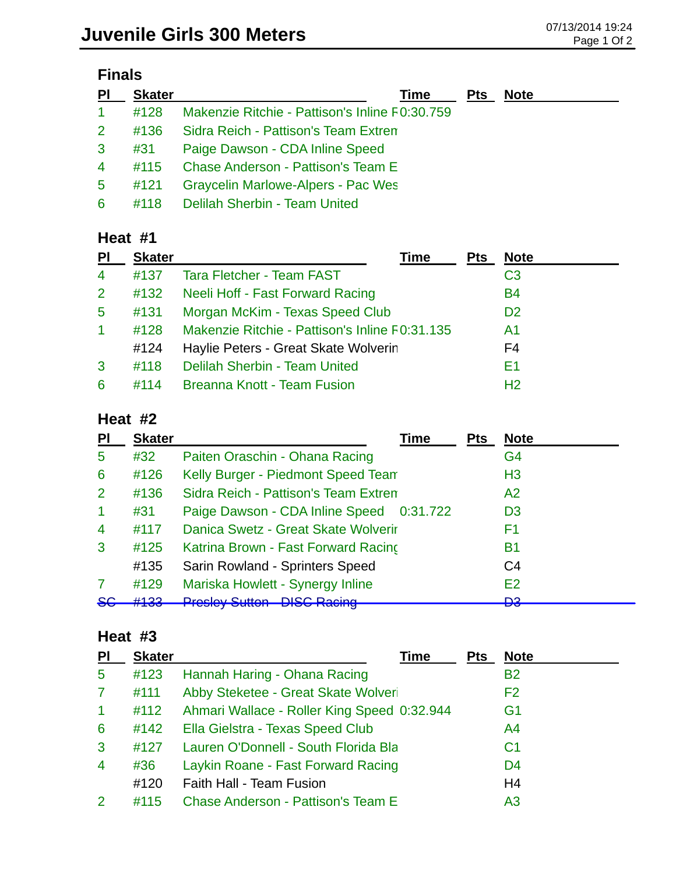| ınaı |
|------|
|------|

| $\overline{P}$ | <b>Skater</b> | Time                                           | <b>Pts</b> | <b>Note</b> |
|----------------|---------------|------------------------------------------------|------------|-------------|
| $\mathbf{1}$   | #128          | Makenzie Ritchie - Pattison's Inline F0:30.759 |            |             |
| 2 <sup>2</sup> | #136          | Sidra Reich - Pattison's Team Extren           |            |             |
| 3              | #31           | Paige Dawson - CDA Inline Speed                |            |             |
| $\overline{4}$ | #115          | <b>Chase Anderson - Pattison's Team E</b>      |            |             |
| 5 <sup>1</sup> | #121          | Graycelin Marlowe-Alpers - Pac Wes             |            |             |
| 6              |               | #118 Delilah Sherbin - Team United             |            |             |

### **Heat #1**

| <b>PI</b>    | <b>Skater</b> | Time                                           | <b>Pts</b> | <b>Note</b>    |
|--------------|---------------|------------------------------------------------|------------|----------------|
| 4            | #137          | <b>Tara Fletcher - Team FAST</b>               |            | C <sub>3</sub> |
| $\mathbf{2}$ | #132          | Neeli Hoff - Fast Forward Racing               |            | <b>B4</b>      |
| 5            | #131          | Morgan McKim - Texas Speed Club                |            | D <sub>2</sub> |
| 1            | #128          | Makenzie Ritchie - Pattison's Inline F0:31.135 |            | A <sub>1</sub> |
|              | #124          | Haylie Peters - Great Skate Wolverin           |            | F4             |
| 3            | #118          | <b>Delilah Sherbin - Team United</b>           |            | E1             |
| 6            | #114          | <b>Breanna Knott - Team Fusion</b>             |            | H <sub>2</sub> |

### **Heat #2**

| PI             | <b>Skater</b>     | Time                                                                          | <b>Pts</b> | <b>Note</b>    |
|----------------|-------------------|-------------------------------------------------------------------------------|------------|----------------|
| 5              | #32               | Paiten Oraschin - Ohana Racing                                                |            | G4             |
| 6              | #126              | Kelly Burger - Piedmont Speed Team                                            |            | H <sub>3</sub> |
| 2              | #136              | Sidra Reich - Pattison's Team Extren                                          |            | A2             |
| -1             | #31               | Paige Dawson - CDA Inline Speed 0:31.722                                      |            | D <sub>3</sub> |
| $\overline{4}$ | #117              | Danica Swetz - Great Skate Wolverir                                           |            | F <sub>1</sub> |
| 3              | #125              | Katrina Brown - Fast Forward Racing                                           |            | <b>B1</b>      |
|                | #135              | Sarin Rowland - Sprinters Speed                                               |            | C4             |
|                | #129              | Mariska Howlett - Synergy Inline                                              |            | E2             |
| OU             | 44.00<br>11 T J J | <b>Draclov Cutton DICC Doping</b><br><del>n losicy outton - Dioo Racing</del> |            | מח<br>ᇰ        |

## **Heat #3**

| PI             | <b>Skater</b> | Time                                        | <b>Pts</b> | <b>Note</b>    |
|----------------|---------------|---------------------------------------------|------------|----------------|
| 5              | #123          | Hannah Haring - Ohana Racing                |            | <b>B2</b>      |
| $\mathbf{7}$   | #111          | Abby Steketee - Great Skate Wolveri         |            | F <sub>2</sub> |
| $\mathbf{1}$   | #112          | Ahmari Wallace - Roller King Speed 0:32.944 |            | G1             |
| 6              | #142          | Ella Gielstra - Texas Speed Club            |            | A <sup>4</sup> |
| 3              | #127          | Lauren O'Donnell - South Florida Bla        |            | C <sub>1</sub> |
| $\overline{4}$ | #36           | Laykin Roane - Fast Forward Racing          |            | D <sub>4</sub> |
|                | #120          | Faith Hall - Team Fusion                    |            | H <sub>4</sub> |
| 2              | #115          | <b>Chase Anderson - Pattison's Team E</b>   |            | A3             |